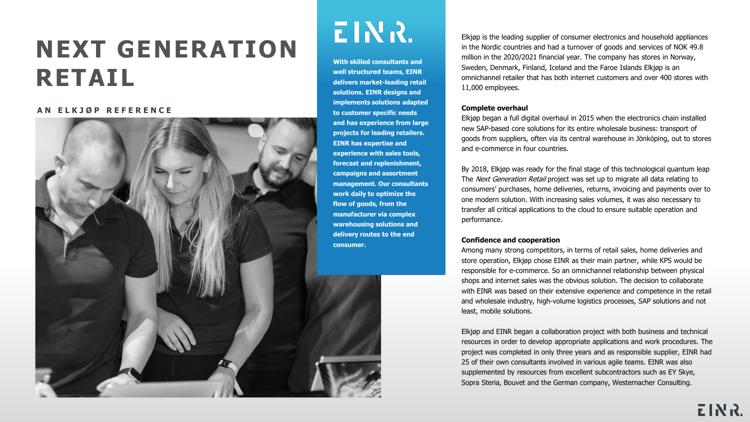# **NEXT GENERATION RETAIL**

#### **A N E L K J Ø P R E F E R E N C E**



# EINR.

**With skilled consultants and well structured teams, EINR delivers market-leading retail solutions. EINR designs and implements solutions adapted to customer specific needs and has experience from large projects for leading retailers. EINR has expertise and experience with sales tools, forecast and replenishment, campaigns and assortment management. Our consultants work daily to optimize the flow of goods, from the manufacturer via complex warehousing solutions and delivery routes to the end consumer.** 

Elkjøp is the leading supplier of consumer electronics and household appliances in the Nordic countries and had a turnover of goods and services of NOK 49.8 million in the 2020/2021 financial year. The company has stores in Norway, Sweden, Denmark, Finland, Iceland and the Faroe Islands Elkjøp is an omnichannel retailer that has both internet customers and over 400 stores with 11,000 employees.

#### **Complete overhaul**

Elkjøp began a full digital overhaul in 2015 when the electronics chain installed new SAP-based core solutions for its entire wholesale business: transport of goods from suppliers, often via its central warehouse in Jönköping, out to stores and e-commerce in four countries.

By 2018, Elkjøp was ready for the final stage of this technological quantum leap The Next Generation Retail project was set up to migrate all data relating to consumers' purchases, home deliveries, returns, invoicing and payments over to one modern solution. With increasing sales volumes, it was also necessary to transfer all critical applications to the cloud to ensure suitable operation and performance.

## **Confidence and cooperation**

Among many strong competitors, in terms of retail sales, home deliveries and store operation, Elkjøp chose EINR as their main partner, while KPS would be responsible for e-commerce. So an omnichannel relationship between physical shops and internet sales was the obvious solution. The decision to collaborate with EINR was based on their extensive experience and competence in the retail and wholesale industry, high-volume logistics processes, SAP solutions and not least, mobile solutions.

Elkjøp and EINR began a collaboration project with both business and technical resources in order to develop appropriate applications and work procedures. The project was completed in only three years and as responsible supplier, EINR had 25 of their own consultants involved in various agile teams. EINR was also supplemented by resources from excellent subcontractors such as EY Skye, Sopra Steria, Bouvet and the German company, Westernacher Consulting.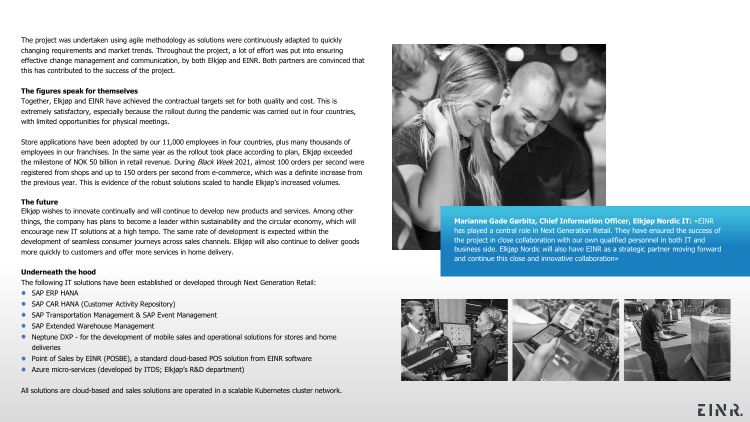The project was undertaken using agile methodology as solutions were continuously adapted to quickly changing requirements and market trends. Throughout the project, a lot of effort was put into ensuring effective change management and communication, by both Elkjøp and EINR. Both partners are convinced that this has contributed to the success of the project.

#### **The figures speak for themselves**

Together, Elkjøp and EINR have achieved the contractual targets set for both quality and cost. This is extremely satisfactory, especially because the rollout during the pandemic was carried out in four countries, with limited opportunities for physical meetings.

Store applications have been adopted by our 11,000 employees in four countries, plus many thousands of employees in our franchises. In the same year as the rollout took place according to plan, Elkjøp exceeded the milestone of NOK 50 billion in retail revenue. During Black Week 2021, almost 100 orders per second were registered from shops and up to 150 orders per second from e-commerce, which was a definite increase from the previous year. This is evidence of the robust solutions scaled to handle Elkjøp's increased volumes.

#### **The future**

Elkjøp wishes to innovate continually and will continue to develop new products and services. Among other things, the company has plans to become a leader within sustainability and the circular economy, which will encourage new IT solutions at a high tempo. The same rate of development is expected within the development of seamless consumer journeys across sales channels. Elkjøp will also continue to deliver goods more quickly to customers and offer more services in home delivery.

## **Underneath the hood**

The following IT solutions have been established or developed through Next Generation Retail:

- **SAP ERP HANA**
- SAP CAR HANA (Customer Activity Repository)
- SAP Transportation Management & SAP Event Management
- SAP Extended Warehouse Management
- Neptune DXP for the development of mobile sales and operational solutions for stores and home deliveries
- **•** Point of Sales by EINR (POSBE), a standard cloud-based POS solution from EINR software
- Azure micro-services (developed by ITDS; Elkjøp's R&D department)

All solutions are cloud-based and sales solutions are operated in a scalable Kubernetes cluster network.



**Marianne Gade Gørbitz, Chief Information Officer, Elkjøp Nordic IT:** «EINR has played a central role in Next Generation Retail. They have ensured the success of the project in close collaboration with our own qualified personnel in both IT and business side. Elkjøp Nordic will also have EINR as a strategic partner moving forward and continue this close and innovative collaboration»

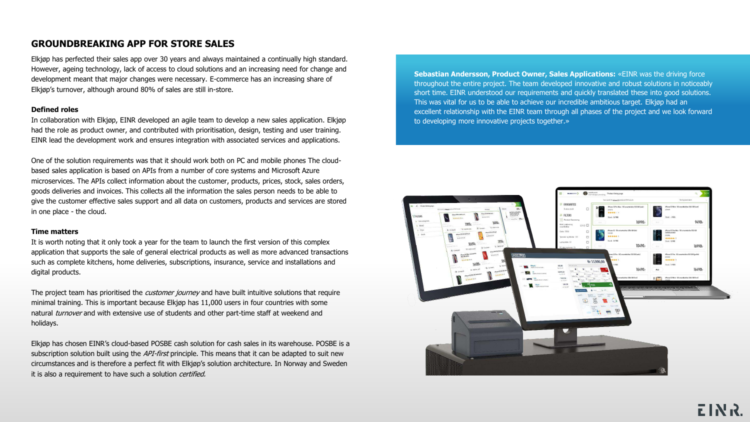# **GROUNDBREAKING APP FOR STORE SALES**

Elkjøp has perfected their sales app over 30 years and always maintained a continually high standard. However, ageing technology, lack of access to cloud solutions and an increasing need for change and development meant that major changes were necessary. E-commerce has an increasing share of Elkjøp's turnover, although around 80% of sales are still in-store.

## **Defined roles**

In collaboration with Elkjøp, EINR developed an agile team to develop a new sales application. Elkjøp had the role as product owner, and contributed with prioritisation, design, testing and user training. EINR lead the development work and ensures integration with associated services and applications.

One of the solution requirements was that it should work both on PC and mobile phones The cloudbased sales application is based on APIs from a number of core systems and Microsoft Azure microservices. The APIs collect information about the customer, products, prices, stock, sales orders, goods deliveries and invoices. This collects all the information the sales person needs to be able to give the customer effective sales support and all data on customers, products and services are stored in one place - the cloud.

# **Time matters**

It is worth noting that it only took a year for the team to launch the first version of this complex application that supports the sale of general electrical products as well as more advanced transactions such as complete kitchens, home deliveries, subscriptions, insurance, service and installations and digital products.

The project team has prioritised the *customer journey* and have built intuitive solutions that require minimal training. This is important because Elkjøp has 11,000 users in four countries with some natural turnover and with extensive use of students and other part-time staff at weekend and holidays.

Elkjøp has chosen EINR's cloud-based POSBE cash solution for cash sales in its warehouse. POSBE is a subscription solution built using the *API-first* principle. This means that it can be adapted to suit new circumstances and is therefore a perfect fit with Elkjøp's solution architecture. In Norway and Sweden it is also a requirement to have such a solution certified.

**Sebastian Andersson, Product Owner, Sales Applications:** «EINR was the driving force throughout the entire project. The team developed innovative and robust solutions in noticeably short time. EINR understood our requirements and quickly translated these into good solutions. This was vital for us to be able to achieve our incredible ambitious target. Elkjøp had an excellent relationship with the EINR team through all phases of the project and we look forward to developing more innovative projects together.»

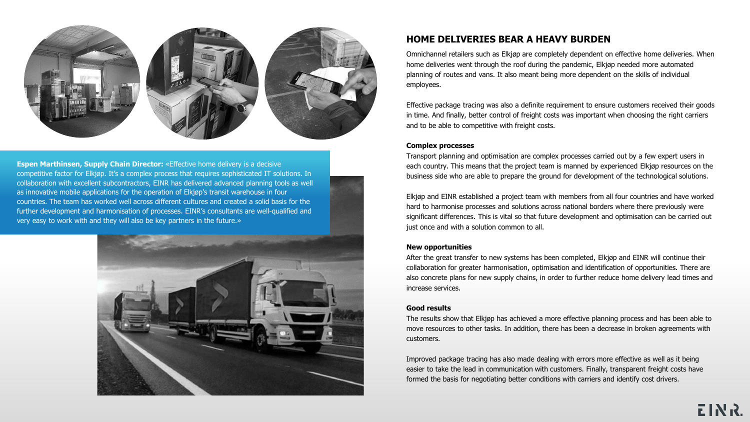

**Espen Marthinsen, Supply Chain Director:** «Effective home delivery is a decisive competitive factor for Elkjøp. It's a complex process that requires sophisticated IT solutions. In collaboration with excellent subcontractors, EINR has delivered advanced planning tools as well as innovative mobile applications for the operation of Elkjøp's transit warehouse in four countries. The team has worked well across different cultures and created a solid basis for the further development and harmonisation of processes. EINR's consultants are well-qualified and very easy to work with and they will also be key partners in the future.»



# **HOME DELIVERIES BEAR A HEAVY BURDEN**

Omnichannel retailers such as Elkjøp are completely dependent on effective home deliveries. When home deliveries went through the roof during the pandemic, Elkjøp needed more automated planning of routes and vans. It also meant being more dependent on the skills of individual employees.

Effective package tracing was also a definite requirement to ensure customers received their goods in time. And finally, better control of freight costs was important when choosing the right carriers and to be able to competitive with freight costs.

## **Complex processes**

Transport planning and optimisation are complex processes carried out by a few expert users in each country. This means that the project team is manned by experienced Elkjøp resources on the business side who are able to prepare the ground for development of the technological solutions.

Elkjøp and EINR established a project team with members from all four countries and have worked hard to harmonise processes and solutions across national borders where there previously were significant differences. This is vital so that future development and optimisation can be carried out just once and with a solution common to all.

## **New opportunities**

After the great transfer to new systems has been completed, Elkjøp and EINR will continue their collaboration for greater harmonisation, optimisation and identification of opportunities. There are also concrete plans for new supply chains, in order to further reduce home delivery lead times and increase services.

#### **Good results**

The results show that Elkjøp has achieved a more effective planning process and has been able to move resources to other tasks. In addition, there has been a decrease in broken agreements with customers.

Improved package tracing has also made dealing with errors more effective as well as it being easier to take the lead in communication with customers. Finally, transparent freight costs have formed the basis for negotiating better conditions with carriers and identify cost drivers.